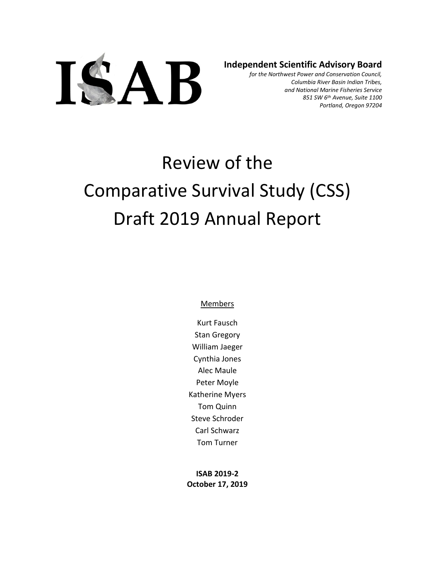

**Independent Scientific Advisory Board**

*for the Northwest Power and Conservation Council, Columbia River Basin Indian Tribes, and National Marine Fisheries Service 851 SW 6th Avenue, Suite 1100 Portland, Oregon 97204*

# Review of the Comparative Survival Study (CSS) Draft 2019 Annual Report

**Members** 

Kurt Fausch Stan Gregory William Jaeger Cynthia Jones Alec Maule Peter Moyle Katherine Myers Tom Quinn Steve Schroder Carl Schwarz Tom Turner

**ISAB 2019-2 October 17, 2019**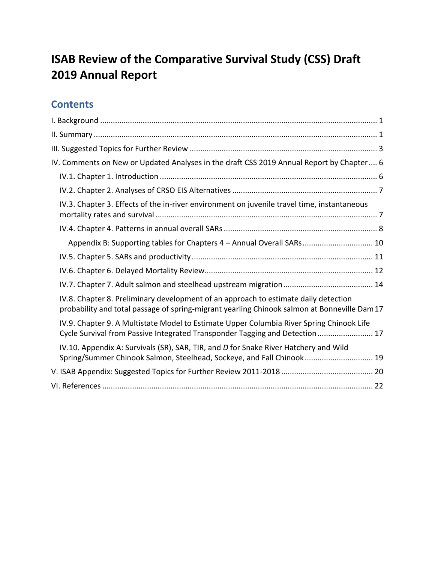# **ISAB Review of the Comparative Survival Study (CSS) Draft 2019 Annual Report**

## **Contents**

<span id="page-1-0"></span>

| IV. Comments on New or Updated Analyses in the draft CSS 2019 Annual Report by Chapter 6                                                                                            |
|-------------------------------------------------------------------------------------------------------------------------------------------------------------------------------------|
|                                                                                                                                                                                     |
|                                                                                                                                                                                     |
| IV.3. Chapter 3. Effects of the in-river environment on juvenile travel time, instantaneous                                                                                         |
|                                                                                                                                                                                     |
| Appendix B: Supporting tables for Chapters 4 - Annual Overall SARs 10                                                                                                               |
|                                                                                                                                                                                     |
|                                                                                                                                                                                     |
|                                                                                                                                                                                     |
| IV.8. Chapter 8. Preliminary development of an approach to estimate daily detection<br>probability and total passage of spring-migrant yearling Chinook salmon at Bonneville Dam 17 |
| IV.9. Chapter 9. A Multistate Model to Estimate Upper Columbia River Spring Chinook Life<br>Cycle Survival from Passive Integrated Transponder Tagging and Detection  17            |
| IV.10. Appendix A: Survivals (SR), SAR, TIR, and D for Snake River Hatchery and Wild<br>Spring/Summer Chinook Salmon, Steelhead, Sockeye, and Fall Chinook 19                       |
|                                                                                                                                                                                     |
|                                                                                                                                                                                     |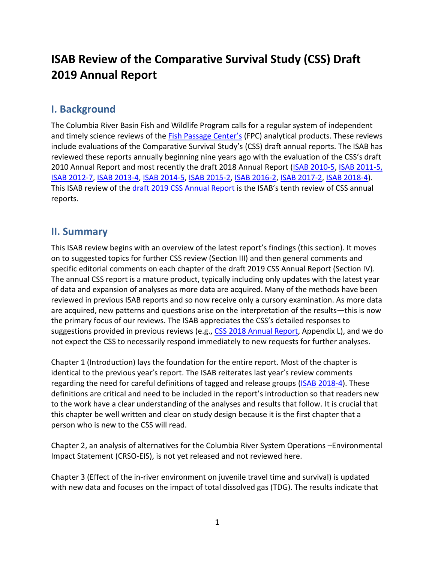## **ISAB Review of the Comparative Survival Study (CSS) Draft 2019 Annual Report**

## **I. Background**

The Columbia River Basin Fish and Wildlife Program calls for a regular system of independent and timely science reviews of the [Fish Passage Center's](http://www.fpc.org/) (FPC) analytical products. These reviews include evaluations of the Comparative Survival Study's (CSS) draft annual reports. The ISAB has reviewed these reports annually beginning nine years ago with the evaluation of the CSS's draft 2010 Annual Report and most recently the draft 2018 Annual Report [\(ISAB 2010-5,](http://www.nwcouncil.org/fw/isab/isab2010-5) [ISAB 2011-5,](http://www.nwcouncil.org/fw/isab/isab2011-5) [ISAB 2012-7,](http://www.nwcouncil.org/fw/isab/isab2012-7/) [ISAB 2013-4,](http://www.nwcouncil.org/fw/isab/isab2013-4) [ISAB 2014-5,](http://www.nwcouncil.org/fw/isab/isab2014-5) [ISAB 2015-2,](http://www.nwcouncil.org/fw/isab/isab2015-2/) [ISAB 2016-2,](http://www.nwcouncil.org/fw/isab/isab2016-2) [ISAB 2017-2,](https://www.nwcouncil.org/fish-and-wildlife/fw-independent-advisory-committees/independent-scientific-advisory-board/review-of-comparative-survival-study-draft-2017-annual-report) [ISAB 2018-4\)](https://www.nwcouncil.org/sites/default/files/ISAB%202018-4%20ReviewCSSdraft2018AnnualReport18Oct.pdf). This ISAB review of the [draft 2019 CSS Annual Report](http://www.fpc.org/documents/CSS/2019CSS_FullDRAFT_5.pdf) is the ISAB's tenth review of CSS annual reports.

## <span id="page-2-0"></span>**II. Summary**

This ISAB review begins with an overview of the latest report's findings (this section). It moves on to suggested topics for further CSS review (Section III) and then general comments and specific editorial comments on each chapter of the draft 2019 CSS Annual Report (Section IV). The annual CSS report is a mature product, typically including only updates with the latest year of data and expansion of analyses as more data are acquired. Many of the methods have been reviewed in previous ISAB reports and so now receive only a cursory examination. As more data are acquired, new patterns and questions arise on the interpretation of the results—this is now the primary focus of our reviews. The ISAB appreciates the CSS's detailed responses to suggestions provided in previous reviews (e.g., [CSS 2018 Annual Report,](http://fpc.org/documents/CSS/2018_Final_CSS.pdf) Appendix L), and we do not expect the CSS to necessarily respond immediately to new requests for further analyses.

Chapter 1 (Introduction) lays the foundation for the entire report. Most of the chapter is identical to the previous year's report. The ISAB reiterates last year's review comments regarding the need for careful definitions of tagged and release groups [\(ISAB 2018-4\)](https://www.nwcouncil.org/sites/default/files/ISAB%202018-4%20ReviewCSSdraft2018AnnualReport18Oct.pdf). These definitions are critical and need to be included in the report's introduction so that readers new to the work have a clear understanding of the analyses and results that follow. It is crucial that this chapter be well written and clear on study design because it is the first chapter that a person who is new to the CSS will read.

Chapter 2, an analysis of alternatives for the Columbia River System Operations –Environmental Impact Statement (CRSO-EIS), is not yet released and not reviewed here.

Chapter 3 (Effect of the in-river environment on juvenile travel time and survival) is updated with new data and focuses on the impact of total dissolved gas (TDG). The results indicate that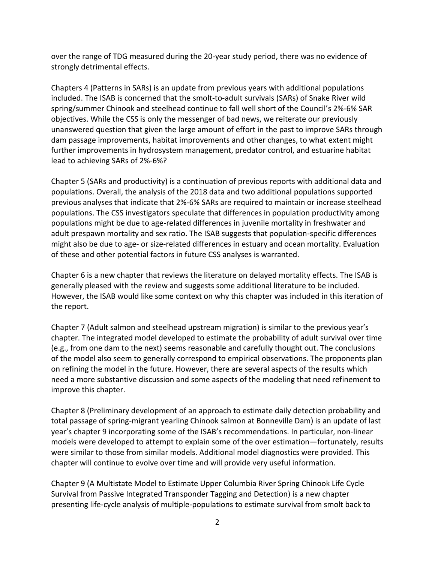over the range of TDG measured during the 20-year study period, there was no evidence of strongly detrimental effects.

Chapters 4 (Patterns in SARs) is an update from previous years with additional populations included. The ISAB is concerned that the smolt-to-adult survivals (SARs) of Snake River wild spring/summer Chinook and steelhead continue to fall well short of the Council's 2%-6% SAR objectives. While the CSS is only the messenger of bad news, we reiterate our previously unanswered question that given the large amount of effort in the past to improve SARs through dam passage improvements, habitat improvements and other changes, to what extent might further improvements in hydrosystem management, predator control, and estuarine habitat lead to achieving SARs of 2%-6%?

Chapter 5 (SARs and productivity) is a continuation of previous reports with additional data and populations. Overall, the analysis of the 2018 data and two additional populations supported previous analyses that indicate that 2%-6% SARs are required to maintain or increase steelhead populations. The CSS investigators speculate that differences in population productivity among populations might be due to age-related differences in juvenile mortality in freshwater and adult prespawn mortality and sex ratio. The ISAB suggests that population-specific differences might also be due to age- or size-related differences in estuary and ocean mortality. Evaluation of these and other potential factors in future CSS analyses is warranted.

Chapter 6 is a new chapter that reviews the literature on delayed mortality effects. The ISAB is generally pleased with the review and suggests some additional literature to be included. However, the ISAB would like some context on why this chapter was included in this iteration of the report.

Chapter 7 (Adult salmon and steelhead upstream migration) is similar to the previous year's chapter. The integrated model developed to estimate the probability of adult survival over time (e.g., from one dam to the next) seems reasonable and carefully thought out. The conclusions of the model also seem to generally correspond to empirical observations. The proponents plan on refining the model in the future. However, there are several aspects of the results which need a more substantive discussion and some aspects of the modeling that need refinement to improve this chapter.

Chapter 8 (Preliminary development of an approach to estimate daily detection probability and total passage of spring-migrant yearling Chinook salmon at Bonneville Dam) is an update of last year's chapter 9 incorporating some of the ISAB's recommendations. In particular, non-linear models were developed to attempt to explain some of the over estimation—fortunately, results were similar to those from similar models. Additional model diagnostics were provided. This chapter will continue to evolve over time and will provide very useful information.

Chapter 9 (A Multistate Model to Estimate Upper Columbia River Spring Chinook Life Cycle Survival from Passive Integrated Transponder Tagging and Detection) is a new chapter presenting life-cycle analysis of multiple-populations to estimate survival from smolt back to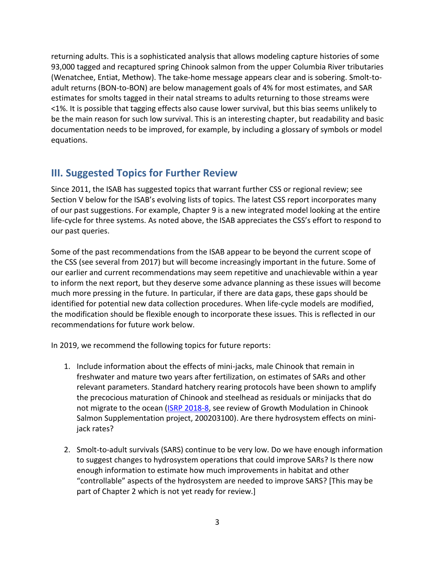returning adults. This is a sophisticated analysis that allows modeling capture histories of some 93,000 tagged and recaptured spring Chinook salmon from the upper Columbia River tributaries (Wenatchee, Entiat, Methow). The take-home message appears clear and is sobering. Smolt-toadult returns (BON-to-BON) are below management goals of 4% for most estimates, and SAR estimates for smolts tagged in their natal streams to adults returning to those streams were <1%. It is possible that tagging effects also cause lower survival, but this bias seems unlikely to be the main reason for such low survival. This is an interesting chapter, but readability and basic documentation needs to be improved, for example, by including a glossary of symbols or model equations.

## <span id="page-4-0"></span>**III. Suggested Topics for Further Review**

Since 2011, the ISAB has suggested topics that warrant further CSS or regional review; see Section V below for the ISAB's evolving lists of topics. The latest CSS report incorporates many of our past suggestions. For example, Chapter 9 is a new integrated model looking at the entire life-cycle for three systems. As noted above, the ISAB appreciates the CSS's effort to respond to our past queries.

Some of the past recommendations from the ISAB appear to be beyond the current scope of the CSS (see several from 2017) but will become increasingly important in the future. Some of our earlier and current recommendations may seem repetitive and unachievable within a year to inform the next report, but they deserve some advance planning as these issues will become much more pressing in the future. In particular, if there are data gaps, these gaps should be identified for potential new data collection procedures. When life-cycle models are modified, the modification should be flexible enough to incorporate these issues. This is reflected in our recommendations for future work below.

In 2019, we recommend the following topics for future reports:

- 1. Include information about the effects of mini-jacks, male Chinook that remain in freshwater and mature two years after fertilization, on estimates of SARs and other relevant parameters. Standard hatchery rearing protocols have been shown to amplify the precocious maturation of Chinook and steelhead as residuals or minijacks that do not migrate to the ocean [\(ISRP 2018-8,](https://www.nwcouncil.org/reports/isrp-2018-research-project-status-review) see review of Growth Modulation in Chinook Salmon Supplementation project, 200203100). Are there hydrosystem effects on minijack rates?
- 2. Smolt-to-adult survivals (SARS) continue to be very low. Do we have enough information to suggest changes to hydrosystem operations that could improve SARs? Is there now enough information to estimate how much improvements in habitat and other "controllable" aspects of the hydrosystem are needed to improve SARS? [This may be part of Chapter 2 which is not yet ready for review.]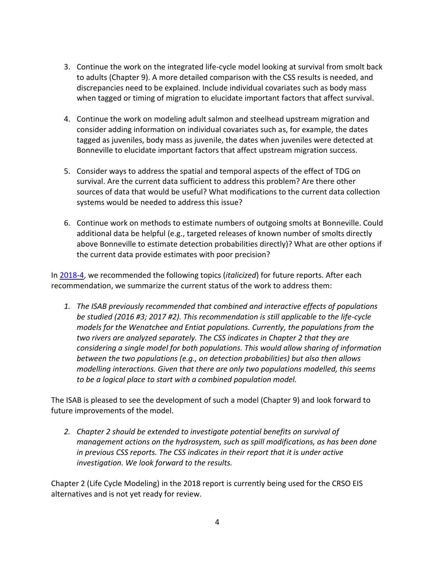- 3. Continue the work on the integrated life-cycle model looking at survival from smolt back to adults (Chapter 9). A more detailed comparison with the CSS results is needed, and discrepancies need to be explained. Include individual covariates such as body mass when tagged or timing of migration to elucidate important factors that affect survival.
- 4. Continue the work on modeling adult salmon and steelhead upstream migration and consider adding information on individual covariates such as, for example, the dates tagged as juveniles, body mass as juvenile, the dates when juveniles were detected at Bonneville to elucidate important factors that affect upstream migration success.
- 5. Consider ways to address the spatial and temporal aspects of the effect of TDG on survival. Are the current data sufficient to address this problem? Are there other sources of data that would be useful? What modifications to the current data collection systems would be needed to address this issue?
- 6. Continue work on methods to estimate numbers of outgoing smolts at Bonneville. Could additional data be helpful (e.g., targeted releases of known number of smolts directly above Bonneville to estimate detection probabilities directly)? What are other options if the current data provide estimates with poor precision?

In [2018-4,](https://www.nwcouncil.org/sites/default/files/ISAB%202018-4%20ReviewCSSdraft2018AnnualReport18Oct.pdf) we recommended the following topics (*italicized*) for future reports. After each recommendation, we summarize the current status of the work to address them:

*1. The ISAB previously recommended that combined and interactive effects of populations be studied (2016 #3; 2017 #2). This recommendation is still applicable to the life-cycle models for the Wenatchee and Entiat populations. Currently, the populations from the two rivers are analyzed separately. The CSS indicates in Chapter 2 that they are considering a single model for both populations. This would allow sharing of information between the two populations (e.g., on detection probabilities) but also then allows modelling interactions. Given that there are only two populations modelled, this seems to be a logical place to start with a combined population model.*

The ISAB is pleased to see the development of such a model (Chapter 9) and look forward to future improvements of the model.

*2. Chapter 2 should be extended to investigate potential benefits on survival of management actions on the hydrosystem, such as spill modifications, as has been done in previous CSS reports. The CSS indicates in their report that it is under active investigation. We look forward to the results.*

Chapter 2 (Life Cycle Modeling) in the 2018 report is currently being used for the CRSO EIS alternatives and is not yet ready for review.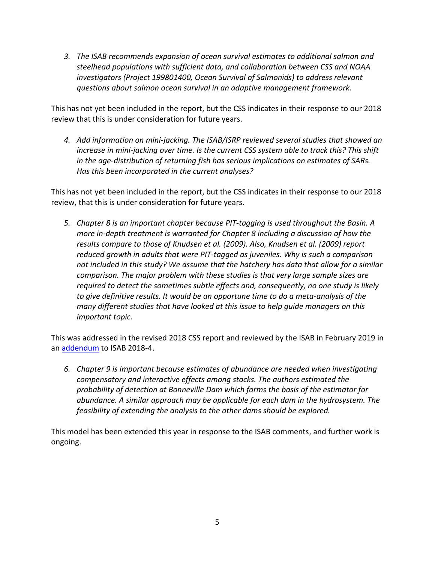*3. The ISAB recommends expansion of ocean survival estimates to additional salmon and steelhead populations with sufficient data, and collaboration between CSS and NOAA investigators (Project 199801400, Ocean Survival of Salmonids) to address relevant questions about salmon ocean survival in an adaptive management framework.*

This has not yet been included in the report, but the CSS indicates in their response to our 2018 review that this is under consideration for future years.

*4. Add information on mini-jacking. The ISAB/ISRP reviewed several studies that showed an increase in mini-jacking over time. Is the current CSS system able to track this? This shift in the age-distribution of returning fish has serious implications on estimates of SARs. Has this been incorporated in the current analyses?*

This has not yet been included in the report, but the CSS indicates in their response to our 2018 review, that this is under consideration for future years.

*5. Chapter 8 is an important chapter because PIT-tagging is used throughout the Basin. A more in-depth treatment is warranted for Chapter 8 including a discussion of how the results compare to those of Knudsen et al. (2009). Also, Knudsen et al. (2009) report reduced growth in adults that were PIT-tagged as juveniles. Why is such a comparison not included in this study? We assume that the hatchery has data that allow for a similar comparison. The major problem with these studies is that very large sample sizes are required to detect the sometimes subtle effects and, consequently, no one study is likely to give definitive results. It would be an opportune time to do a meta-analysis of the many different studies that have looked at this issue to help guide managers on this important topic.*

This was addressed in the revised 2018 CSS report and reviewed by the ISAB in February 2019 in an [addendum](https://www.nwcouncil.org/sites/default/files/ISAB%202018-4UpdateResponseRevChpt8_6Feb2019.pdf) to ISAB 2018-4.

*6. Chapter 9 is important because estimates of abundance are needed when investigating compensatory and interactive effects among stocks. The authors estimated the probability of detection at Bonneville Dam which forms the basis of the estimator for abundance. A similar approach may be applicable for each dam in the hydrosystem. The feasibility of extending the analysis to the other dams should be explored.* 

This model has been extended this year in response to the ISAB comments, and further work is ongoing.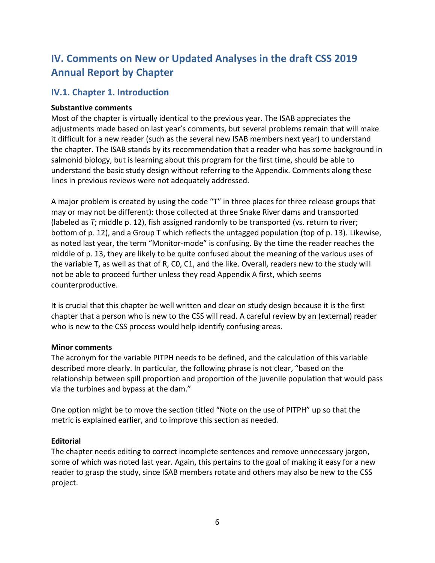## <span id="page-7-0"></span>**IV. Comments on New or Updated Analyses in the draft CSS 2019 Annual Report by Chapter**

## <span id="page-7-1"></span>**IV.1. Chapter 1. Introduction**

#### **Substantive comments**

Most of the chapter is virtually identical to the previous year. The ISAB appreciates the adjustments made based on last year's comments, but several problems remain that will make it difficult for a new reader (such as the several new ISAB members next year) to understand the chapter. The ISAB stands by its recommendation that a reader who has some background in salmonid biology, but is learning about this program for the first time, should be able to understand the basic study design without referring to the Appendix. Comments along these lines in previous reviews were not adequately addressed.

A major problem is created by using the code "T" in three places for three release groups that may or may not be different): those collected at three Snake River dams and transported (labeled as *T*; middle p. 12), fish assigned randomly to be transported (vs. return to river; bottom of p. 12), and a Group T which reflects the untagged population (top of p. 13). Likewise, as noted last year, the term "Monitor-mode" is confusing. By the time the reader reaches the middle of p. 13, they are likely to be quite confused about the meaning of the various uses of the variable T, as well as that of R, C0, C1, and the like. Overall, readers new to the study will not be able to proceed further unless they read Appendix A first, which seems counterproductive.

It is crucial that this chapter be well written and clear on study design because it is the first chapter that a person who is new to the CSS will read. A careful review by an (external) reader who is new to the CSS process would help identify confusing areas.

#### **Minor comments**

The acronym for the variable PITPH needs to be defined, and the calculation of this variable described more clearly. In particular, the following phrase is not clear, "based on the relationship between spill proportion and proportion of the juvenile population that would pass via the turbines and bypass at the dam."

One option might be to move the section titled "Note on the use of PITPH" up so that the metric is explained earlier, and to improve this section as needed.

## **Editorial**

The chapter needs editing to correct incomplete sentences and remove unnecessary jargon, some of which was noted last year. Again, this pertains to the goal of making it easy for a new reader to grasp the study, since ISAB members rotate and others may also be new to the CSS project.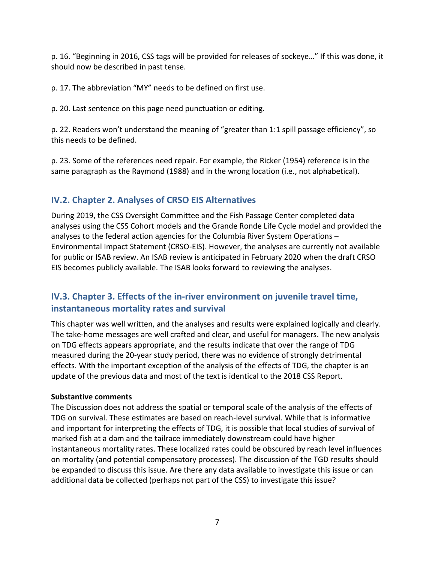p. 16. "Beginning in 2016, CSS tags will be provided for releases of sockeye…" If this was done, it should now be described in past tense.

p. 17. The abbreviation "MY" needs to be defined on first use.

p. 20. Last sentence on this page need punctuation or editing.

p. 22. Readers won't understand the meaning of "greater than 1:1 spill passage efficiency", so this needs to be defined.

p. 23. Some of the references need repair. For example, the Ricker (1954) reference is in the same paragraph as the Raymond (1988) and in the wrong location (i.e., not alphabetical).

## <span id="page-8-0"></span>**IV.2. Chapter 2. Analyses of CRSO EIS Alternatives**

During 2019, the CSS Oversight Committee and the Fish Passage Center completed data analyses using the CSS Cohort models and the Grande Ronde Life Cycle model and provided the analyses to the federal action agencies for the Columbia River System Operations – Environmental Impact Statement (CRSO-EIS). However, the analyses are currently not available for public or ISAB review. An ISAB review is anticipated in February 2020 when the draft CRSO EIS becomes publicly available. The ISAB looks forward to reviewing the analyses.

## <span id="page-8-1"></span>**IV.3. Chapter 3. Effects of the in-river environment on juvenile travel time, instantaneous mortality rates and survival**

This chapter was well written, and the analyses and results were explained logically and clearly. The take-home messages are well crafted and clear, and useful for managers. The new analysis on TDG effects appears appropriate, and the results indicate that over the range of TDG measured during the 20-year study period, there was no evidence of strongly detrimental effects. With the important exception of the analysis of the effects of TDG, the chapter is an update of the previous data and most of the text is identical to the 2018 CSS Report.

## **Substantive comments**

The Discussion does not address the spatial or temporal scale of the analysis of the effects of TDG on survival. These estimates are based on reach-level survival. While that is informative and important for interpreting the effects of TDG, it is possible that local studies of survival of marked fish at a dam and the tailrace immediately downstream could have higher instantaneous mortality rates. These localized rates could be obscured by reach level influences on mortality (and potential compensatory processes). The discussion of the TGD results should be expanded to discuss this issue. Are there any data available to investigate this issue or can additional data be collected (perhaps not part of the CSS) to investigate this issue?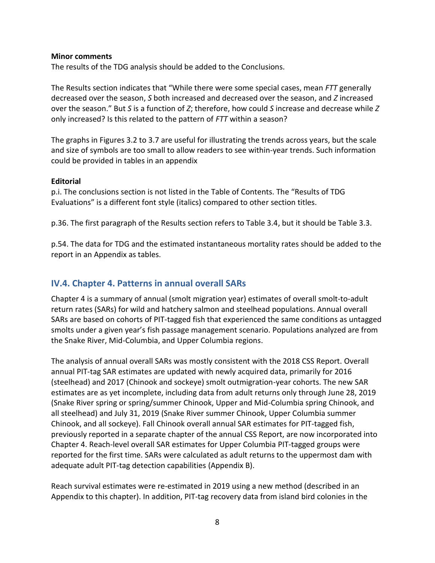#### **Minor comments**

The results of the TDG analysis should be added to the Conclusions.

The Results section indicates that "While there were some special cases, mean *FTT* generally decreased over the season, *S* both increased and decreased over the season, and *Z* increased over the season." But *S* is a function of *Z*; therefore, how could *S* increase and decrease while *Z* only increased? Is this related to the pattern of *FTT* within a season?

The graphs in Figures 3.2 to 3.7 are useful for illustrating the trends across years, but the scale and size of symbols are too small to allow readers to see within-year trends. Such information could be provided in tables in an appendix

#### **Editorial**

p.i. The conclusions section is not listed in the Table of Contents. The "Results of TDG Evaluations" is a different font style (italics) compared to other section titles.

p.36. The first paragraph of the Results section refers to Table 3.4, but it should be Table 3.3.

p.54. The data for TDG and the estimated instantaneous mortality rates should be added to the report in an Appendix as tables.

## <span id="page-9-0"></span>**IV.4. Chapter 4. Patterns in annual overall SARs**

Chapter 4 is a summary of annual (smolt migration year) estimates of overall smolt-to-adult return rates (SARs) for wild and hatchery salmon and steelhead populations. Annual overall SARs are based on cohorts of PIT-tagged fish that experienced the same conditions as untagged smolts under a given year's fish passage management scenario. Populations analyzed are from the Snake River, Mid-Columbia, and Upper Columbia regions.

The analysis of annual overall SARs was mostly consistent with the 2018 CSS Report. Overall annual PIT-tag SAR estimates are updated with newly acquired data, primarily for 2016 (steelhead) and 2017 (Chinook and sockeye) smolt outmigration-year cohorts. The new SAR estimates are as yet incomplete, including data from adult returns only through June 28, 2019 (Snake River spring or spring/summer Chinook, Upper and Mid-Columbia spring Chinook, and all steelhead) and July 31, 2019 (Snake River summer Chinook, Upper Columbia summer Chinook, and all sockeye). Fall Chinook overall annual SAR estimates for PIT-tagged fish, previously reported in a separate chapter of the annual CSS Report, are now incorporated into Chapter 4. Reach-level overall SAR estimates for Upper Columbia PIT-tagged groups were reported for the first time. SARs were calculated as adult returns to the uppermost dam with adequate adult PIT-tag detection capabilities (Appendix B).

Reach survival estimates were re-estimated in 2019 using a new method (described in an Appendix to this chapter). In addition, PIT-tag recovery data from island bird colonies in the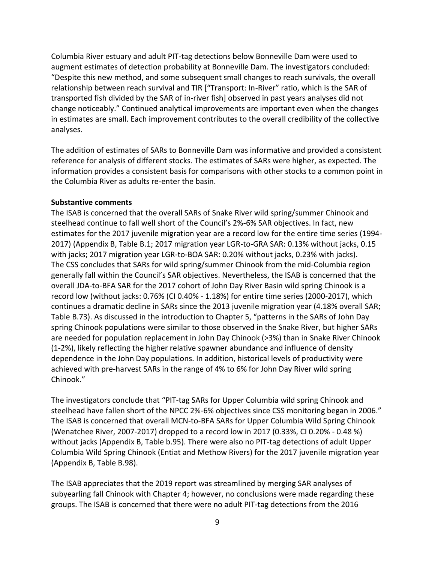Columbia River estuary and adult PIT-tag detections below Bonneville Dam were used to augment estimates of detection probability at Bonneville Dam. The investigators concluded: "Despite this new method, and some subsequent small changes to reach survivals, the overall relationship between reach survival and TIR ["Transport: In-River" ratio, which is the SAR of transported fish divided by the SAR of in-river fish] observed in past years analyses did not change noticeably." Continued analytical improvements are important even when the changes in estimates are small. Each improvement contributes to the overall credibility of the collective analyses.

The addition of estimates of SARs to Bonneville Dam was informative and provided a consistent reference for analysis of different stocks. The estimates of SARs were higher, as expected. The information provides a consistent basis for comparisons with other stocks to a common point in the Columbia River as adults re-enter the basin.

#### **Substantive comments**

The ISAB is concerned that the overall SARs of Snake River wild spring/summer Chinook and steelhead continue to fall well short of the Council's 2%-6% SAR objectives. In fact, new estimates for the 2017 juvenile migration year are a record low for the entire time series (1994- 2017) (Appendix B, Table B.1; 2017 migration year LGR-to-GRA SAR: 0.13% without jacks, 0.15 with jacks; 2017 migration year LGR-to-BOA SAR: 0.20% without jacks, 0.23% with jacks). The CSS concludes that SARs for wild spring/summer Chinook from the mid-Columbia region generally fall within the Council's SAR objectives. Nevertheless, the ISAB is concerned that the overall JDA-to-BFA SAR for the 2017 cohort of John Day River Basin wild spring Chinook is a record low (without jacks: 0.76% (CI 0.40% - 1.18%) for entire time series (2000-2017), which continues a dramatic decline in SARs since the 2013 juvenile migration year (4.18% overall SAR; Table B.73). As discussed in the introduction to Chapter 5, "patterns in the SARs of John Day spring Chinook populations were similar to those observed in the Snake River, but higher SARs are needed for population replacement in John Day Chinook (>3%) than in Snake River Chinook (1-2%), likely reflecting the higher relative spawner abundance and influence of density dependence in the John Day populations. In addition, historical levels of productivity were achieved with pre-harvest SARs in the range of 4% to 6% for John Day River wild spring Chinook."

The investigators conclude that "PIT-tag SARs for Upper Columbia wild spring Chinook and steelhead have fallen short of the NPCC 2%-6% objectives since CSS monitoring began in 2006." The ISAB is concerned that overall MCN-to-BFA SARs for Upper Columbia Wild Spring Chinook (Wenatchee River, 2007-2017) dropped to a record low in 2017 (0.33%, CI 0.20% - 0.48 %) without jacks (Appendix B, Table b.95). There were also no PIT-tag detections of adult Upper Columbia Wild Spring Chinook (Entiat and Methow Rivers) for the 2017 juvenile migration year (Appendix B, Table B.98).

The ISAB appreciates that the 2019 report was streamlined by merging SAR analyses of subyearling fall Chinook with Chapter 4; however, no conclusions were made regarding these groups. The ISAB is concerned that there were no adult PIT-tag detections from the 2016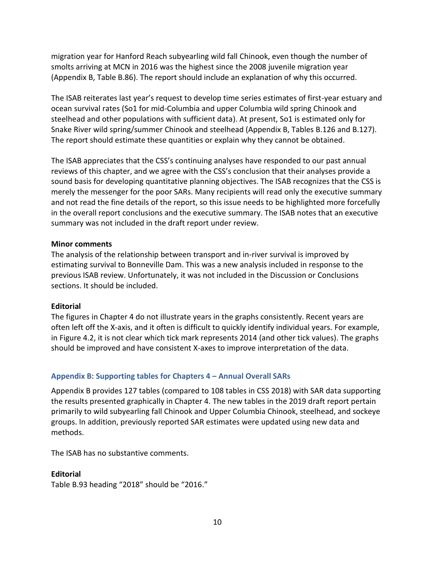migration year for Hanford Reach subyearling wild fall Chinook, even though the number of smolts arriving at MCN in 2016 was the highest since the 2008 juvenile migration year (Appendix B, Table B.86). The report should include an explanation of why this occurred.

The ISAB reiterates last year's request to develop time series estimates of first-year estuary and ocean survival rates (So1 for mid-Columbia and upper Columbia wild spring Chinook and steelhead and other populations with sufficient data). At present, So1 is estimated only for Snake River wild spring/summer Chinook and steelhead (Appendix B, Tables B.126 and B.127). The report should estimate these quantities or explain why they cannot be obtained.

The ISAB appreciates that the CSS's continuing analyses have responded to our past annual reviews of this chapter, and we agree with the CSS's conclusion that their analyses provide a sound basis for developing quantitative planning objectives. The ISAB recognizes that the CSS is merely the messenger for the poor SARs. Many recipients will read only the executive summary and not read the fine details of the report, so this issue needs to be highlighted more forcefully in the overall report conclusions and the executive summary. The ISAB notes that an executive summary was not included in the draft report under review.

#### **Minor comments**

The analysis of the relationship between transport and in-river survival is improved by estimating survival to Bonneville Dam. This was a new analysis included in response to the previous ISAB review. Unfortunately, it was not included in the Discussion or Conclusions sections. It should be included.

## **Editorial**

The figures in Chapter 4 do not illustrate years in the graphs consistently. Recent years are often left off the X-axis, and it often is difficult to quickly identify individual years. For example, in Figure 4.2, it is not clear which tick mark represents 2014 (and other tick values). The graphs should be improved and have consistent X-axes to improve interpretation of the data.

## <span id="page-11-0"></span>**Appendix B: Supporting tables for Chapters 4 – Annual Overall SARs**

Appendix B provides 127 tables (compared to 108 tables in CSS 2018) with SAR data supporting the results presented graphically in Chapter 4. The new tables in the 2019 draft report pertain primarily to wild subyearling fall Chinook and Upper Columbia Chinook, steelhead, and sockeye groups. In addition, previously reported SAR estimates were updated using new data and methods.

The ISAB has no substantive comments.

## **Editorial**

Table B.93 heading "2018" should be "2016."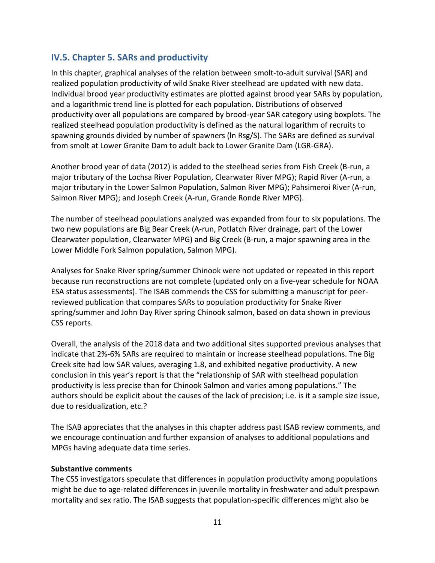## <span id="page-12-0"></span>**IV.5. Chapter 5. SARs and productivity**

In this chapter, graphical analyses of the relation between smolt-to-adult survival (SAR) and realized population productivity of wild Snake River steelhead are updated with new data. Individual brood year productivity estimates are plotted against brood year SARs by population, and a logarithmic trend line is plotted for each population. Distributions of observed productivity over all populations are compared by brood-year SAR category using boxplots. The realized steelhead population productivity is defined as the natural logarithm of recruits to spawning grounds divided by number of spawners (ln Rsg/S). The SARs are defined as survival from smolt at Lower Granite Dam to adult back to Lower Granite Dam (LGR-GRA).

Another brood year of data (2012) is added to the steelhead series from Fish Creek (B-run, a major tributary of the Lochsa River Population, Clearwater River MPG); Rapid River (A-run, a major tributary in the Lower Salmon Population, Salmon River MPG); Pahsimeroi River (A-run, Salmon River MPG); and Joseph Creek (A-run, Grande Ronde River MPG).

The number of steelhead populations analyzed was expanded from four to six populations. The two new populations are Big Bear Creek (A-run, Potlatch River drainage, part of the Lower Clearwater population, Clearwater MPG) and Big Creek (B-run, a major spawning area in the Lower Middle Fork Salmon population, Salmon MPG).

Analyses for Snake River spring/summer Chinook were not updated or repeated in this report because run reconstructions are not complete (updated only on a five-year schedule for NOAA ESA status assessments). The ISAB commends the CSS for submitting a manuscript for peerreviewed publication that compares SARs to population productivity for Snake River spring/summer and John Day River spring Chinook salmon, based on data shown in previous CSS reports.

Overall, the analysis of the 2018 data and two additional sites supported previous analyses that indicate that 2%-6% SARs are required to maintain or increase steelhead populations. The Big Creek site had low SAR values, averaging 1.8, and exhibited negative productivity. A new conclusion in this year's report is that the "relationship of SAR with steelhead population productivity is less precise than for Chinook Salmon and varies among populations." The authors should be explicit about the causes of the lack of precision; i.e. is it a sample size issue, due to residualization, etc.?

The ISAB appreciates that the analyses in this chapter address past ISAB review comments, and we encourage continuation and further expansion of analyses to additional populations and MPGs having adequate data time series.

## **Substantive comments**

The CSS investigators speculate that differences in population productivity among populations might be due to age-related differences in juvenile mortality in freshwater and adult prespawn mortality and sex ratio. The ISAB suggests that population-specific differences might also be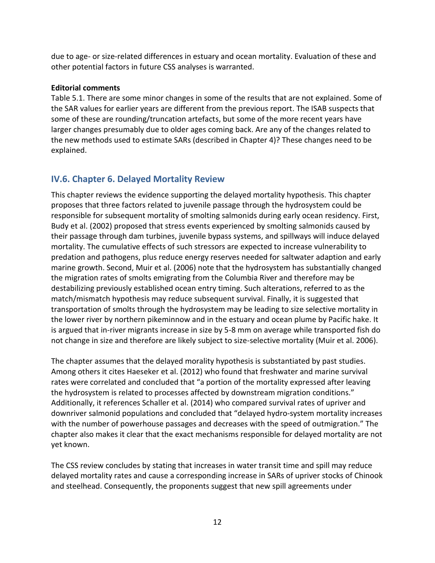due to age- or size-related differences in estuary and ocean mortality. Evaluation of these and other potential factors in future CSS analyses is warranted.

## **Editorial comments**

Table 5.1. There are some minor changes in some of the results that are not explained. Some of the SAR values for earlier years are different from the previous report. The ISAB suspects that some of these are rounding/truncation artefacts, but some of the more recent years have larger changes presumably due to older ages coming back. Are any of the changes related to the new methods used to estimate SARs (described in Chapter 4)? These changes need to be explained.

## <span id="page-13-0"></span>**IV.6. Chapter 6. Delayed Mortality Review**

This chapter reviews the evidence supporting the delayed mortality hypothesis. This chapter proposes that three factors related to juvenile passage through the hydrosystem could be responsible for subsequent mortality of smolting salmonids during early ocean residency. First, Budy et al. (2002) proposed that stress events experienced by smolting salmonids caused by their passage through dam turbines, juvenile bypass systems, and spillways will induce delayed mortality. The cumulative effects of such stressors are expected to increase vulnerability to predation and pathogens, plus reduce energy reserves needed for saltwater adaption and early marine growth. Second, Muir et al. (2006) note that the hydrosystem has substantially changed the migration rates of smolts emigrating from the Columbia River and therefore may be destabilizing previously established ocean entry timing. Such alterations, referred to as the match/mismatch hypothesis may reduce subsequent survival. Finally, it is suggested that transportation of smolts through the hydrosystem may be leading to size selective mortality in the lower river by northern pikeminnow and in the estuary and ocean plume by Pacific hake. It is argued that in-river migrants increase in size by 5-8 mm on average while transported fish do not change in size and therefore are likely subject to size-selective mortality (Muir et al. 2006).

The chapter assumes that the delayed morality hypothesis is substantiated by past studies. Among others it cites Haeseker et al. (2012) who found that freshwater and marine survival rates were correlated and concluded that "a portion of the mortality expressed after leaving the hydrosystem is related to processes affected by downstream migration conditions." Additionally, it references Schaller et al. (2014) who compared survival rates of upriver and downriver salmonid populations and concluded that "delayed hydro-system mortality increases with the number of powerhouse passages and decreases with the speed of outmigration." The chapter also makes it clear that the exact mechanisms responsible for delayed mortality are not yet known.

The CSS review concludes by stating that increases in water transit time and spill may reduce delayed mortality rates and cause a corresponding increase in SARs of upriver stocks of Chinook and steelhead. Consequently, the proponents suggest that new spill agreements under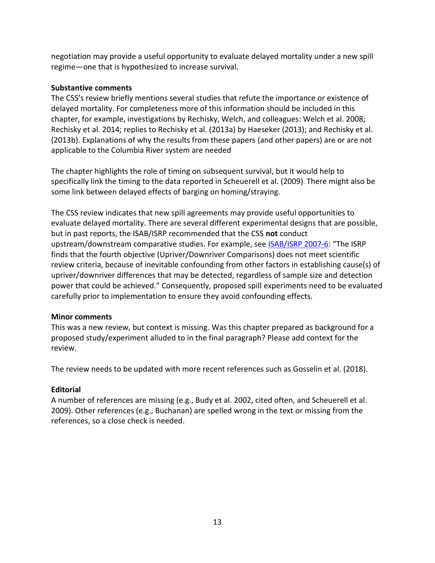negotiation may provide a useful opportunity to evaluate delayed mortality under a new spill regime—one that is hypothesized to increase survival.

## **Substantive comments**

The CSS's review briefly mentions several studies that refute the importance or existence of delayed mortality. For completeness more of this information should be included in this chapter, for example, investigations by Rechisky, Welch, and colleagues: Welch et al. 2008; Rechisky et al. 2014; replies to Rechisky et al. (2013a) by Haeseker (2013); and Rechisky et al. (2013b). Explanations of why the results from these papers (and other papers) are or are not applicable to the Columbia River system are needed

The chapter highlights the role of timing on subsequent survival, but it would help to specifically link the timing to the data reported in Scheuerell et al. (2009). There might also be some link between delayed effects of barging on homing/straying.

The CSS review indicates that new spill agreements may provide useful opportunities to evaluate delayed mortality. There are several different experimental designs that are possible, but in past reports, the ISAB/ISRP recommended that the CSS **not** conduct upstream/downstream comparative studies. For example, see [ISAB/ISRP](https://www.nwcouncil.org/reports/isab-and-isrp-review-of-the-css-ten-year-retrospective-summary-report) 2007-6: "The ISRP finds that the fourth objective (Upriver/Downriver Comparisons) does not meet scientific review criteria, because of inevitable confounding from other factors in establishing cause(s) of upriver/downriver differences that may be detected, regardless of sample size and detection power that could be achieved." Consequently, proposed spill experiments need to be evaluated carefully prior to implementation to ensure they avoid confounding effects.

## **Minor comments**

This was a new review, but context is missing. Was this chapter prepared as background for a proposed study/experiment alluded to in the final paragraph? Please add context for the review.

The review needs to be updated with more recent references such as Gosselin et al. (2018).

## **Editorial**

<span id="page-14-0"></span>A number of references are missing (e.g., Budy et al. 2002, cited often, and Scheuerell et al. 2009). Other references (e.g., Buchanan) are spelled wrong in the text or missing from the references, so a close check is needed.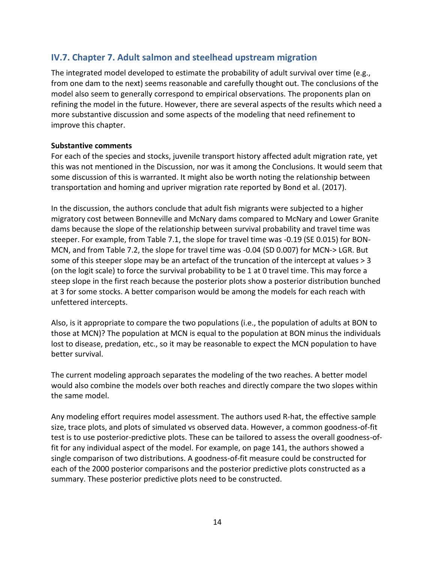## **IV.7. Chapter 7. Adult salmon and steelhead upstream migration**

The integrated model developed to estimate the probability of adult survival over time (e.g., from one dam to the next) seems reasonable and carefully thought out. The conclusions of the model also seem to generally correspond to empirical observations. The proponents plan on refining the model in the future. However, there are several aspects of the results which need a more substantive discussion and some aspects of the modeling that need refinement to improve this chapter.

#### **Substantive comments**

For each of the species and stocks, juvenile transport history affected adult migration rate, yet this was not mentioned in the Discussion, nor was it among the Conclusions. It would seem that some discussion of this is warranted. It might also be worth noting the relationship between transportation and homing and upriver migration rate reported by Bond et al. (2017).

In the discussion, the authors conclude that adult fish migrants were subjected to a higher migratory cost between Bonneville and McNary dams compared to McNary and Lower Granite dams because the slope of the relationship between survival probability and travel time was steeper. For example, from Table 7.1, the slope for travel time was -0.19 (SE 0.015) for BON-MCN, and from Table 7.2, the slope for travel time was -0.04 (SD 0.007) for MCN-> LGR. But some of this steeper slope may be an artefact of the truncation of the intercept at values > 3 (on the logit scale) to force the survival probability to be 1 at 0 travel time. This may force a steep slope in the first reach because the posterior plots show a posterior distribution bunched at 3 for some stocks. A better comparison would be among the models for each reach with unfettered intercepts.

Also, is it appropriate to compare the two populations (i.e., the population of adults at BON to those at MCN)? The population at MCN is equal to the population at BON minus the individuals lost to disease, predation, etc., so it may be reasonable to expect the MCN population to have better survival.

The current modeling approach separates the modeling of the two reaches. A better model would also combine the models over both reaches and directly compare the two slopes within the same model.

Any modeling effort requires model assessment. The authors used R-hat, the effective sample size, trace plots, and plots of simulated vs observed data. However, a common goodness-of-fit test is to use posterior-predictive plots. These can be tailored to assess the overall goodness-offit for any individual aspect of the model. For example, on page 141, the authors showed a single comparison of two distributions. A goodness-of-fit measure could be constructed for each of the 2000 posterior comparisons and the posterior predictive plots constructed as a summary. These posterior predictive plots need to be constructed.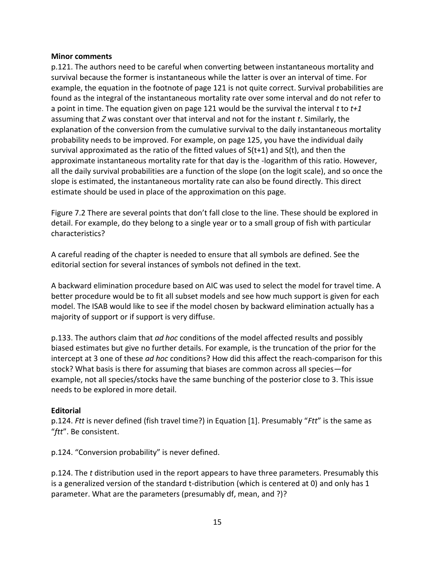#### **Minor comments**

p.121. The authors need to be careful when converting between instantaneous mortality and survival because the former is instantaneous while the latter is over an interval of time. For example, the equation in the footnote of page 121 is not quite correct. Survival probabilities are found as the integral of the instantaneous mortality rate over some interval and do not refer to a point in time. The equation given on page 121 would be the survival the interval *t* to *t+1* assuming that *Z* was constant over that interval and not for the instant *t*. Similarly, the explanation of the conversion from the cumulative survival to the daily instantaneous mortality probability needs to be improved. For example, on page 125, you have the individual daily survival approximated as the ratio of the fitted values of  $S(t+1)$  and  $S(t)$ , and then the approximate instantaneous mortality rate for that day is the -logarithm of this ratio. However, all the daily survival probabilities are a function of the slope (on the logit scale), and so once the slope is estimated, the instantaneous mortality rate can also be found directly. This direct estimate should be used in place of the approximation on this page.

Figure 7.2 There are several points that don't fall close to the line. These should be explored in detail. For example, do they belong to a single year or to a small group of fish with particular characteristics?

A careful reading of the chapter is needed to ensure that all symbols are defined. See the editorial section for several instances of symbols not defined in the text.

A backward elimination procedure based on AIC was used to select the model for travel time. A better procedure would be to fit all subset models and see how much support is given for each model. The ISAB would like to see if the model chosen by backward elimination actually has a majority of support or if support is very diffuse.

p.133. The authors claim that *ad hoc* conditions of the model affected results and possibly biased estimates but give no further details. For example, is the truncation of the prior for the intercept at 3 one of these *ad hoc* conditions? How did this affect the reach-comparison for this stock? What basis is there for assuming that biases are common across all species—for example, not all species/stocks have the same bunching of the posterior close to 3. This issue needs to be explored in more detail.

## **Editorial**

p.124. *Ftt* is never defined (fish travel time?) in Equation [1]. Presumably "*Ftt*" is the same as "*ftt*". Be consistent.

p.124. "Conversion probability" is never defined.

p.124. The *t* distribution used in the report appears to have three parameters. Presumably this is a generalized version of the standard t-distribution (which is centered at 0) and only has 1 parameter. What are the parameters (presumably df, mean, and ?)?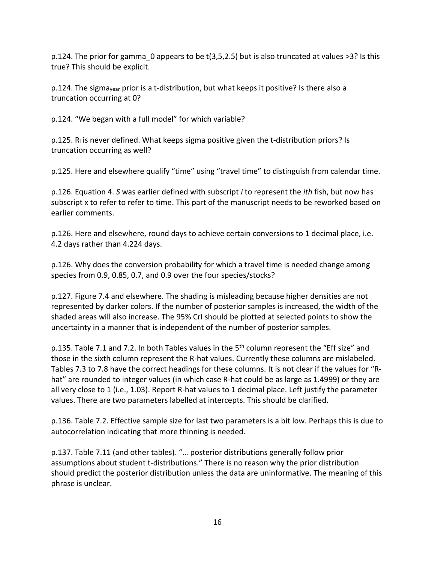p.124. The prior for gamma\_0 appears to be t(3,5,2.5) but is also truncated at values >3? Is this true? This should be explicit.

p.124. The sigma<sub>year</sub> prior is a t-distribution, but what keeps it positive? Is there also a truncation occurring at 0?

p.124. "We began with a full model" for which variable?

p.125. R<sup>i</sup> is never defined. What keeps sigma positive given the t-distribution priors? Is truncation occurring as well?

p.125. Here and elsewhere qualify "time" using "travel time" to distinguish from calendar time.

p.126. Equation 4. *S* was earlier defined with subscript *i* to represent the *ith* fish, but now has subscript x to refer to refer to time. This part of the manuscript needs to be reworked based on earlier comments.

p.126. Here and elsewhere, round days to achieve certain conversions to 1 decimal place, i.e. 4.2 days rather than 4.224 days.

p.126. Why does the conversion probability for which a travel time is needed change among species from 0.9, 0.85, 0.7, and 0.9 over the four species/stocks?

p.127. Figure 7.4 and elsewhere. The shading is misleading because higher densities are not represented by darker colors. If the number of posterior samples is increased, the width of the shaded areas will also increase. The 95% CrI should be plotted at selected points to show the uncertainty in a manner that is independent of the number of posterior samples.

p.135. Table 7.1 and 7.2. In both Tables values in the 5<sup>th</sup> column represent the "Eff size" and those in the sixth column represent the R-hat values. Currently these columns are mislabeled. Tables 7.3 to 7.8 have the correct headings for these columns. It is not clear if the values for "Rhat" are rounded to integer values (in which case R-hat could be as large as 1.4999) or they are all very close to 1 (i.e., 1.03). Report R-hat values to 1 decimal place. Left justify the parameter values. There are two parameters labelled at intercepts. This should be clarified.

p.136. Table 7.2. Effective sample size for last two parameters is a bit low. Perhaps this is due to autocorrelation indicating that more thinning is needed.

p.137. Table 7.11 (and other tables). "… posterior distributions generally follow prior assumptions about student t-distributions." There is no reason why the prior distribution should predict the posterior distribution unless the data are uninformative. The meaning of this phrase is unclear.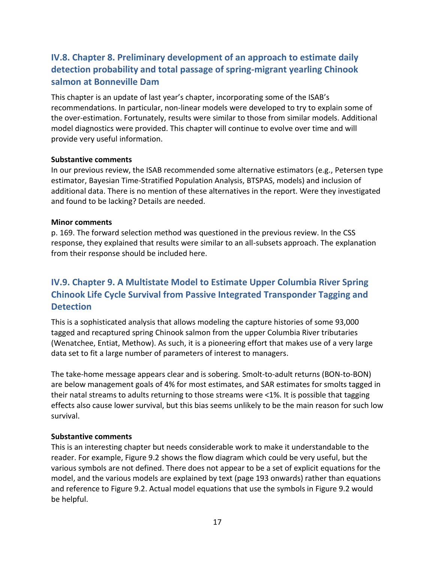## <span id="page-18-0"></span>**IV.8. Chapter 8. Preliminary development of an approach to estimate daily detection probability and total passage of spring-migrant yearling Chinook salmon at Bonneville Dam**

This chapter is an update of last year's chapter, incorporating some of the ISAB's recommendations. In particular, non-linear models were developed to try to explain some of the over-estimation. Fortunately, results were similar to those from similar models. Additional model diagnostics were provided. This chapter will continue to evolve over time and will provide very useful information.

#### **Substantive comments**

In our previous review, the ISAB recommended some alternative estimators (e.g., Petersen type estimator, Bayesian Time-Stratified Population Analysis, BTSPAS, models) and inclusion of additional data. There is no mention of these alternatives in the report. Were they investigated and found to be lacking? Details are needed.

#### **Minor comments**

p. 169. The forward selection method was questioned in the previous review. In the CSS response, they explained that results were similar to an all-subsets approach. The explanation from their response should be included here.

## <span id="page-18-1"></span>**IV.9. Chapter 9. A Multistate Model to Estimate Upper Columbia River Spring Chinook Life Cycle Survival from Passive Integrated Transponder Tagging and Detection**

This is a sophisticated analysis that allows modeling the capture histories of some 93,000 tagged and recaptured spring Chinook salmon from the upper Columbia River tributaries (Wenatchee, Entiat, Methow). As such, it is a pioneering effort that makes use of a very large data set to fit a large number of parameters of interest to managers.

The take-home message appears clear and is sobering. Smolt-to-adult returns (BON-to-BON) are below management goals of 4% for most estimates, and SAR estimates for smolts tagged in their natal streams to adults returning to those streams were <1%. It is possible that tagging effects also cause lower survival, but this bias seems unlikely to be the main reason for such low survival.

#### **Substantive comments**

This is an interesting chapter but needs considerable work to make it understandable to the reader. For example, Figure 9.2 shows the flow diagram which could be very useful, but the various symbols are not defined. There does not appear to be a set of explicit equations for the model, and the various models are explained by text (page 193 onwards) rather than equations and reference to Figure 9.2. Actual model equations that use the symbols in Figure 9.2 would be helpful.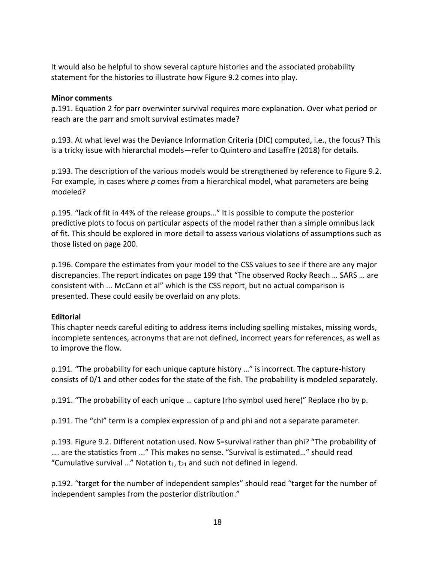It would also be helpful to show several capture histories and the associated probability statement for the histories to illustrate how Figure 9.2 comes into play.

#### **Minor comments**

p.191. Equation 2 for parr overwinter survival requires more explanation. Over what period or reach are the parr and smolt survival estimates made?

p.193. At what level was the Deviance Information Criteria (DIC) computed, i.e., the focus? This is a tricky issue with hierarchal models—refer to Quintero and Lasaffre (2018) for details.

p.193. The description of the various models would be strengthened by reference to Figure 9.2. For example, in cases where *p* comes from a hierarchical model, what parameters are being modeled?

p.195. "lack of fit in 44% of the release groups…" It is possible to compute the posterior predictive plots to focus on particular aspects of the model rather than a simple omnibus lack of fit. This should be explored in more detail to assess various violations of assumptions such as those listed on page 200.

p.196. Compare the estimates from your model to the CSS values to see if there are any major discrepancies. The report indicates on page 199 that "The observed Rocky Reach … SARS … are consistent with ... McCann et al" which is the CSS report, but no actual comparison is presented. These could easily be overlaid on any plots.

#### **Editorial**

This chapter needs careful editing to address items including spelling mistakes, missing words, incomplete sentences, acronyms that are not defined, incorrect years for references, as well as to improve the flow.

p.191. "The probability for each unique capture history …" is incorrect. The capture-history consists of 0/1 and other codes for the state of the fish. The probability is modeled separately.

p.191. "The probability of each unique … capture (rho symbol used here)" Replace rho by p.

p.191. The "chi" term is a complex expression of p and phi and not a separate parameter.

p.193. Figure 9.2. Different notation used. Now S=survival rather than phi? "The probability of …. are the statistics from ..." This makes no sense. "Survival is estimated…" should read "Cumulative survival ..." Notation  $t_1$ ,  $t_{21}$  and such not defined in legend.

p.192. "target for the number of independent samples" should read "target for the number of independent samples from the posterior distribution."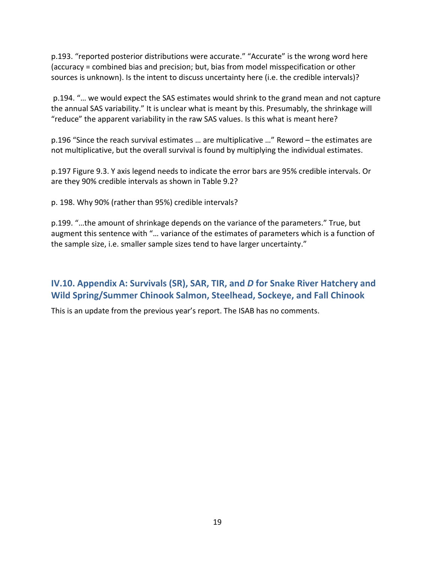p.193. "reported posterior distributions were accurate." "Accurate" is the wrong word here (accuracy = combined bias and precision; but, bias from model misspecification or other sources is unknown). Is the intent to discuss uncertainty here (i.e. the credible intervals)?

p.194. "… we would expect the SAS estimates would shrink to the grand mean and not capture the annual SAS variability." It is unclear what is meant by this. Presumably, the shrinkage will "reduce" the apparent variability in the raw SAS values. Is this what is meant here?

p.196 "Since the reach survival estimates … are multiplicative …" Reword – the estimates are not multiplicative, but the overall survival is found by multiplying the individual estimates.

p.197 Figure 9.3. Y axis legend needs to indicate the error bars are 95% credible intervals. Or are they 90% credible intervals as shown in Table 9.2?

p. 198. Why 90% (rather than 95%) credible intervals?

p.199. "…the amount of shrinkage depends on the variance of the parameters." True, but augment this sentence with "… variance of the estimates of parameters which is a function of the sample size, i.e. smaller sample sizes tend to have larger uncertainty."

## <span id="page-20-0"></span>**IV.10. Appendix A: Survivals (SR), SAR, TIR, and** *D* **for Snake River Hatchery and Wild Spring/Summer Chinook Salmon, Steelhead, Sockeye, and Fall Chinook**

<span id="page-20-1"></span>This is an update from the previous year's report. The ISAB has no comments.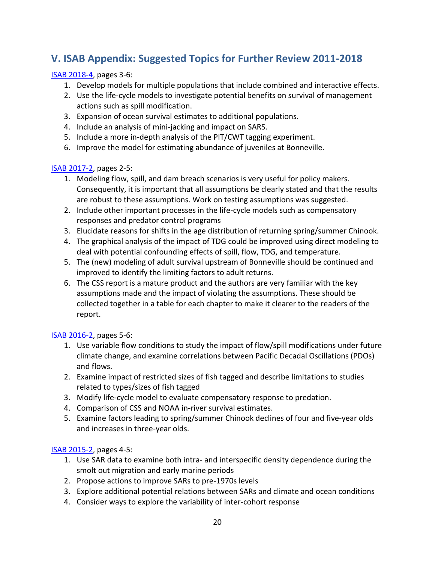## **V. ISAB Appendix: Suggested Topics for Further Review 2011-2018**

## [ISAB 2018-4,](https://www.nwcouncil.org/sites/default/files/ISAB%202018-4%20ReviewCSSdraft2018AnnualReport18Oct.pdf) pages 3-6:

- 1. Develop models for multiple populations that include combined and interactive effects.
- 2. Use the life-cycle models to investigate potential benefits on survival of management actions such as spill modification.
- 3. Expansion of ocean survival estimates to additional populations.
- 4. Include an analysis of mini-jacking and impact on SARS.
- 5. Include a more in-depth analysis of the PIT/CWT tagging experiment.
- 6. Improve the model for estimating abundance of juveniles at Bonneville.

#### [ISAB 2017-2,](https://www.nwcouncil.org/fish-and-wildlife/fw-independent-advisory-committees/independent-scientific-advisory-board/review-of-comparative-survival-study-draft-2017-annual-report) pages 2-5:

- 1. Modeling flow, spill, and dam breach scenarios is very useful for policy makers. Consequently, it is important that all assumptions be clearly stated and that the results are robust to these assumptions. Work on testing assumptions was suggested.
- 2. Include other important processes in the life-cycle models such as compensatory responses and predator control programs
- 3. Elucidate reasons for shifts in the age distribution of returning spring/summer Chinook.
- 4. The graphical analysis of the impact of TDG could be improved using direct modeling to deal with potential confounding effects of spill, flow, TDG, and temperature.
- 5. The (new) modeling of adult survival upstream of Bonneville should be continued and improved to identify the limiting factors to adult returns.
- 6. The CSS report is a mature product and the authors are very familiar with the key assumptions made and the impact of violating the assumptions. These should be collected together in a table for each chapter to make it clearer to the readers of the report.

## [ISAB 2016-2,](http://www.nwcouncil.org/fw/isab/isab2016-2) pages 5-6:

- 1. Use variable flow conditions to study the impact of flow/spill modifications under future climate change, and examine correlations between Pacific Decadal Oscillations (PDOs) and flows.
- 2. Examine impact of restricted sizes of fish tagged and describe limitations to studies related to types/sizes of fish tagged
- 3. Modify life-cycle model to evaluate compensatory response to predation.
- 4. Comparison of CSS and NOAA in-river survival estimates.
- 5. Examine factors leading to spring/summer Chinook declines of four and five-year olds and increases in three-year olds.

## [ISAB 2015-2,](http://www.nwcouncil.org/fw/isab/isab2015-2/) pages 4-5:

- 1. Use SAR data to examine both intra- and interspecific density dependence during the smolt out migration and early marine periods
- 2. Propose actions to improve SARs to pre-1970s levels
- 3. Explore additional potential relations between SARs and climate and ocean conditions
- 4. Consider ways to explore the variability of inter-cohort response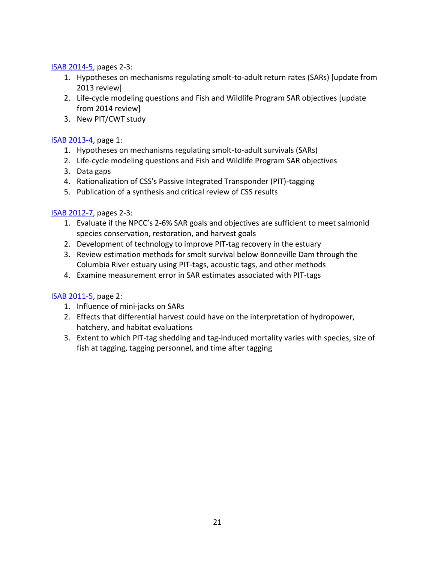[ISAB 2014-5,](http://www.nwcouncil.org/fw/isab/isab2014-5) pages 2-3:

- 1. Hypotheses on mechanisms regulating smolt-to-adult return rates (SARs) [update from 2013 review]
- 2. Life-cycle modeling questions and Fish and Wildlife Program SAR objectives [update from 2014 review]
- 3. New PIT/CWT study

[ISAB 2013-4,](http://www.nwcouncil.org/fw/isab/isab2013-4) page 1:

- 1. Hypotheses on mechanisms regulating smolt-to-adult survivals (SARs)
- 2. Life-cycle modeling questions and Fish and Wildlife Program SAR objectives
- 3. Data gaps
- 4. Rationalization of CSS's Passive Integrated Transponder (PIT)-tagging
- 5. Publication of a synthesis and critical review of CSS results

[ISAB 2012-7,](https://www.nwcouncil.org/fish-and-wildlife/fw-independent-advisory-committees/independent-scientific-advisory-board/review-of-the-comparative-survival-studys-draft-2012-annual-report) pages 2-3:

- 1. Evaluate if the NPCC's 2-6% SAR goals and objectives are sufficient to meet salmonid species conservation, restoration, and harvest goals
- 2. Development of technology to improve PIT-tag recovery in the estuary
- 3. Review estimation methods for smolt survival below Bonneville Dam through the Columbia River estuary using PIT-tags, acoustic tags, and other methods
- 4. Examine measurement error in SAR estimates associated with PIT-tags

[ISAB 2011-5,](https://www.nwcouncil.org/sites/default/files/isab2011_5.pdf) page 2:

- 1. Influence of mini-jacks on SARs
- 2. Effects that differential harvest could have on the interpretation of hydropower, hatchery, and habitat evaluations
- <span id="page-22-0"></span>3. Extent to which PIT-tag shedding and tag-induced mortality varies with species, size of fish at tagging, tagging personnel, and time after tagging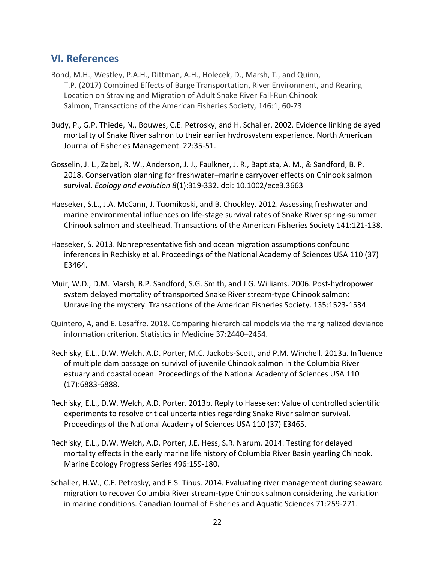## **VI. References**

- Bond, M.H., Westley, P.A.H., Dittman, A.H., Holecek, D., Marsh, T., and Quinn, T.P. (2017) Combined Effects of Barge Transportation, River Environment, and Rearing Location on Straying and Migration of Adult Snake River Fall-Run Chinook Salmon, Transactions of the American Fisheries Society, 146:1, 60-73
- Budy, P., G.P. Thiede, N., Bouwes, C.E. Petrosky, and H. Schaller. 2002. Evidence linking delayed mortality of Snake River salmon to their earlier hydrosystem experience. North American Journal of Fisheries Management. 22:35-51.
- Gosselin, J. L., Zabel, R. W., Anderson, J. J., Faulkner, J. R., Baptista, A. M., & Sandford, B. P. 2018. Conservation planning for freshwater–marine carryover effects on Chinook salmon survival. *Ecology and evolution 8*(1):319-332. doi: 10.1002/ece3.3663
- Haeseker, S.L., J.A. McCann, J. Tuomikoski, and B. Chockley. 2012. Assessing freshwater and marine environmental influences on life-stage survival rates of Snake River spring-summer Chinook salmon and steelhead. Transactions of the American Fisheries Society 141:121-138.
- Haeseker, S. 2013. Nonrepresentative fish and ocean migration assumptions confound inferences in Rechisky et al. Proceedings of the National Academy of Sciences USA 110 (37) E3464.
- Muir, W.D., D.M. Marsh, B.P. Sandford, S.G. Smith, and J.G. Williams. 2006. Post-hydropower system delayed mortality of transported Snake River stream-type Chinook salmon: Unraveling the mystery. Transactions of the American Fisheries Society. 135:1523-1534.
- Quintero, A, and E. Lesaffre. 2018. Comparing hierarchical models via the marginalized deviance information criterion. Statistics in Medicine 37:2440–2454.
- Rechisky, E.L., D.W. Welch, A.D. Porter, M.C. Jackobs-Scott, and P.M. Winchell. 2013a. Influence of multiple dam passage on survival of juvenile Chinook salmon in the Columbia River estuary and coastal ocean. Proceedings of the National Academy of Sciences USA 110 (17):6883-6888.
- Rechisky, E.L., D.W. Welch, A.D. Porter. 2013b. Reply to Haeseker: Value of controlled scientific experiments to resolve critical uncertainties regarding Snake River salmon survival. Proceedings of the National Academy of Sciences USA 110 (37) E3465.
- Rechisky, E.L., D.W. Welch, A.D. Porter, J.E. Hess, S.R. Narum. 2014. Testing for delayed mortality effects in the early marine life history of Columbia River Basin yearling Chinook. Marine Ecology Progress Series 496:159-180.
- Schaller, H.W., C.E. Petrosky, and E.S. Tinus. 2014. Evaluating river management during seaward migration to recover Columbia River stream-type Chinook salmon considering the variation in marine conditions. Canadian Journal of Fisheries and Aquatic Sciences 71:259-271.